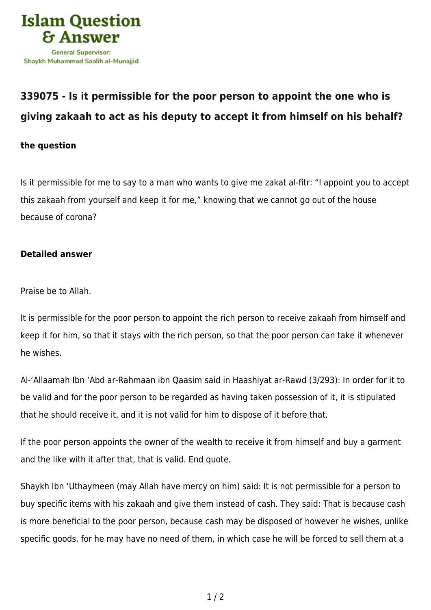

## **[339075 - Is it permissible for the poor person to appoint the one who is](https://islamqa.com/en/answers/339075/is-it-permissible-for-the-poor-person-to-appoint-the-one-who-is-giving-zakaah-to-act-as-his-deputy-to-accept-it-from-himself-on-his-behalf) [giving zakaah to act as his deputy to accept it from himself on his behalf?](https://islamqa.com/en/answers/339075/is-it-permissible-for-the-poor-person-to-appoint-the-one-who-is-giving-zakaah-to-act-as-his-deputy-to-accept-it-from-himself-on-his-behalf)**

## **the question**

Is it permissible for me to say to a man who wants to give me zakat al-fitr: "I appoint you to accept this zakaah from yourself and keep it for me," knowing that we cannot go out of the house because of corona?

## **Detailed answer**

Praise be to Allah.

It is permissible for the poor person to appoint the rich person to receive zakaah from himself and keep it for him, so that it stays with the rich person, so that the poor person can take it whenever he wishes.

Al-'Allaamah Ibn 'Abd ar-Rahmaan ibn Qaasim said in Haashiyat ar-Rawd (3/293): In order for it to be valid and for the poor person to be regarded as having taken possession of it, it is stipulated that he should receive it, and it is not valid for him to dispose of it before that.

If the poor person appoints the owner of the wealth to receive it from himself and buy a garment and the like with it after that, that is valid. End quote.

Shaykh Ibn 'Uthaymeen (may Allah have mercy on him) said: It is not permissible for a person to buy specific items with his zakaah and give them instead of cash. They said: That is because cash is more beneficial to the poor person, because cash may be disposed of however he wishes, unlike specific goods, for he may have no need of them, in which case he will be forced to sell them at a